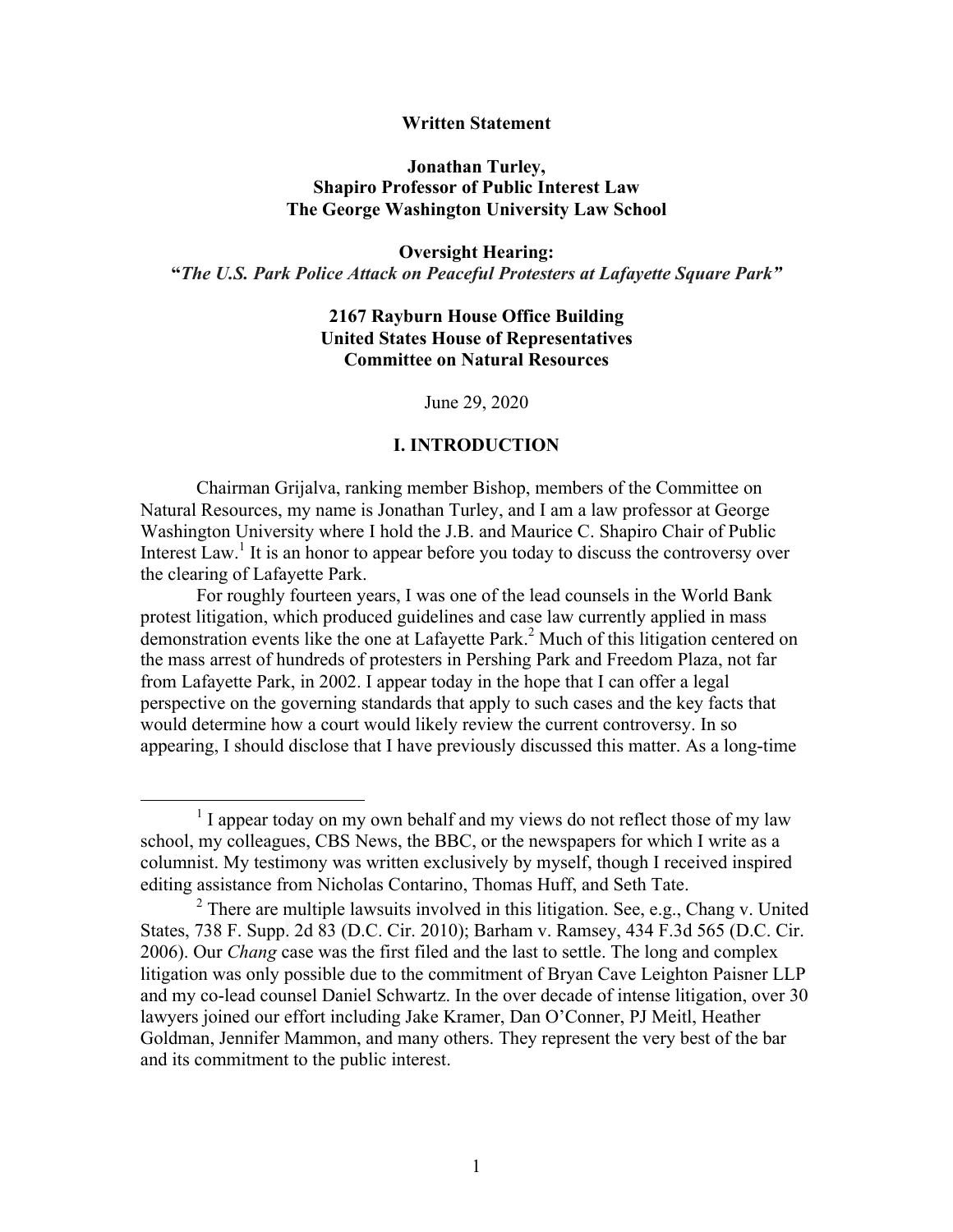### **Written Statement**

### **Jonathan Turley, Shapiro Professor of Public Interest Law The George Washington University Law School**

# **Oversight Hearing: "***The U.S. Park Police Attack on Peaceful Protesters at Lafayette Square Park"*

## **2167 Rayburn House Office Building United States House of Representatives Committee on Natural Resources**

June 29, 2020

### **I. INTRODUCTION**

Chairman Grijalva, ranking member Bishop, members of the Committee on Natural Resources, my name is Jonathan Turley, and I am a law professor at George Washington University where I hold the J.B. and Maurice C. Shapiro Chair of Public Interest Law.<sup>1</sup> It is an honor to appear before you today to discuss the controversy over the clearing of Lafayette Park.

For roughly fourteen years, I was one of the lead counsels in the World Bank protest litigation, which produced guidelines and case law currently applied in mass demonstration events like the one at Lafayette Park.<sup>2</sup> Much of this litigation centered on the mass arrest of hundreds of protesters in Pershing Park and Freedom Plaza, not far from Lafayette Park, in 2002. I appear today in the hope that I can offer a legal perspective on the governing standards that apply to such cases and the key facts that would determine how a court would likely review the current controversy. In so appearing, I should disclose that I have previously discussed this matter. As a long-time

 $1$  I appear today on my own behalf and my views do not reflect those of my law school, my colleagues, CBS News, the BBC, or the newspapers for which I write as a columnist. My testimony was written exclusively by myself, though I received inspired editing assistance from Nicholas Contarino, Thomas Huff, and Seth Tate.

<sup>&</sup>lt;sup>2</sup> There are multiple lawsuits involved in this litigation. See, e.g., Chang v. United States, 738 F. Supp. 2d 83 (D.C. Cir. 2010); Barham v. Ramsey, 434 F.3d 565 (D.C. Cir. 2006). Our *Chang* case was the first filed and the last to settle. The long and complex litigation was only possible due to the commitment of Bryan Cave Leighton Paisner LLP and my co-lead counsel Daniel Schwartz. In the over decade of intense litigation, over 30 lawyers joined our effort including Jake Kramer, Dan O'Conner, PJ Meitl, Heather Goldman, Jennifer Mammon, and many others. They represent the very best of the bar and its commitment to the public interest.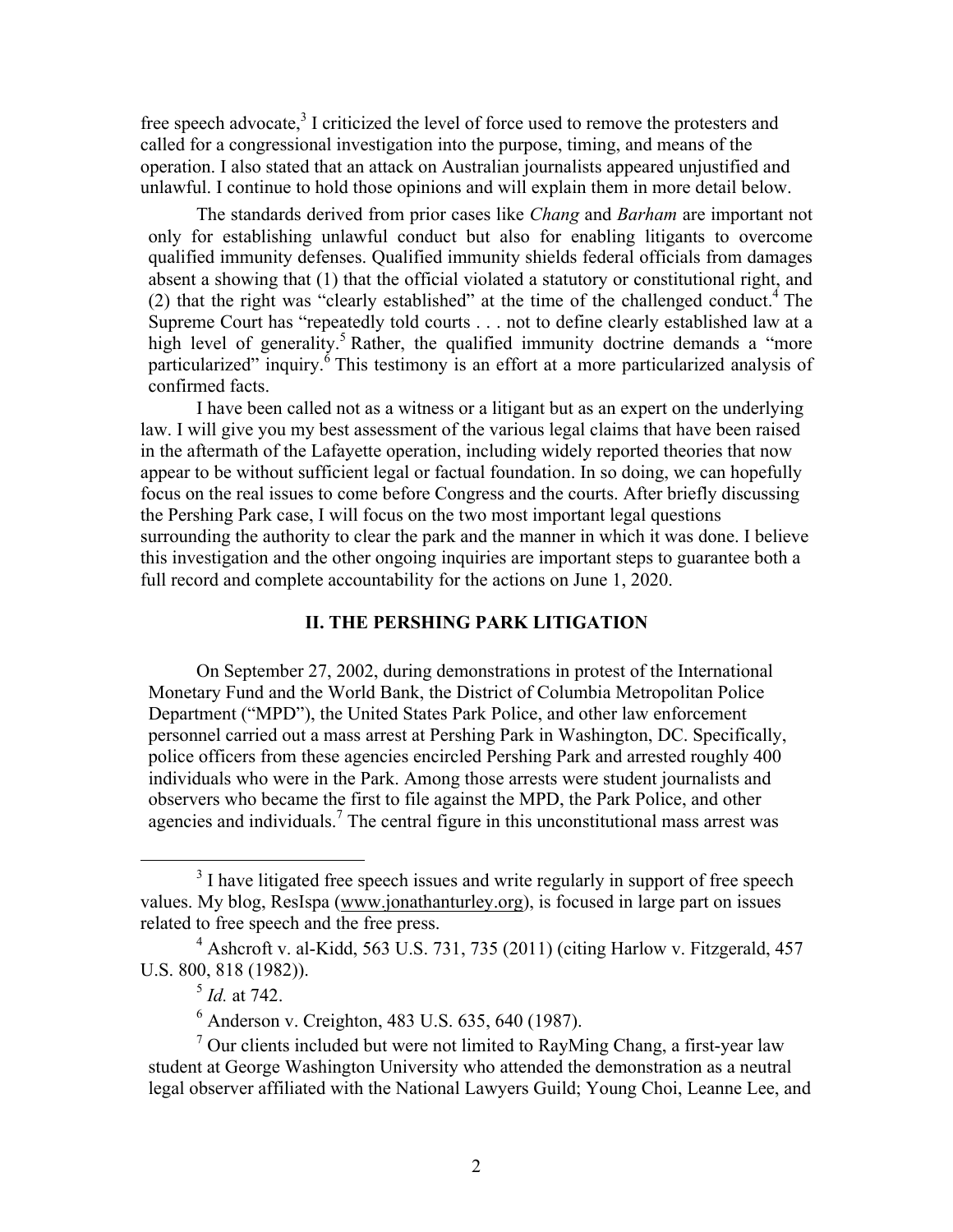free speech advocate,<sup>3</sup> I criticized the level of force used to remove the protesters and called for a congressional investigation into the purpose, timing, and means of the operation. I also stated that an attack on Australian journalists appeared unjustified and unlawful. I continue to hold those opinions and will explain them in more detail below.

The standards derived from prior cases like *Chang* and *Barham* are important not only for establishing unlawful conduct but also for enabling litigants to overcome qualified immunity defenses. Qualified immunity shields federal officials from damages absent a showing that (1) that the official violated a statutory or constitutional right, and (2) that the right was "clearly established" at the time of the challenged conduct.<sup>4</sup> The Supreme Court has "repeatedly told courts . . . not to define clearly established law at a high level of generality.<sup>5</sup> Rather, the qualified immunity doctrine demands a "more particularized" inquiry.<sup> $\delta$ </sup> This testimony is an effort at a more particularized analysis of confirmed facts.

I have been called not as a witness or a litigant but as an expert on the underlying law. I will give you my best assessment of the various legal claims that have been raised in the aftermath of the Lafayette operation, including widely reported theories that now appear to be without sufficient legal or factual foundation. In so doing, we can hopefully focus on the real issues to come before Congress and the courts. After briefly discussing the Pershing Park case, I will focus on the two most important legal questions surrounding the authority to clear the park and the manner in which it was done. I believe this investigation and the other ongoing inquiries are important steps to guarantee both a full record and complete accountability for the actions on June 1, 2020.

# **II. THE PERSHING PARK LITIGATION**

On September 27, 2002, during demonstrations in protest of the International Monetary Fund and the World Bank, the District of Columbia Metropolitan Police Department ("MPD"), the United States Park Police, and other law enforcement personnel carried out a mass arrest at Pershing Park in Washington, DC. Specifically, police officers from these agencies encircled Pershing Park and arrested roughly 400 individuals who were in the Park. Among those arrests were student journalists and observers who became the first to file against the MPD, the Park Police, and other agencies and individuals.<sup>7</sup> The central figure in this unconstitutional mass arrest was

<sup>&</sup>lt;sup>3</sup> I have litigated free speech issues and write regularly in support of free speech values. My blog, ResIspa (www.jonathanturley.org), is focused in large part on issues related to free speech and the free press.<br><sup>4</sup> Ashcroft v. al-Kidd, 563 U.S. 731, 735 (2011) (citing Harlow v. Fitzgerald, 457

U.S. 800, 818 (1982)).

<sup>5</sup> *Id.* at 742.

 $<sup>6</sup>$  Anderson v. Creighton, 483 U.S. 635, 640 (1987).</sup>

 $<sup>7</sup>$  Our clients included but were not limited to RayMing Chang, a first-year law</sup> student at George Washington University who attended the demonstration as a neutral legal observer affiliated with the National Lawyers Guild; Young Choi, Leanne Lee, and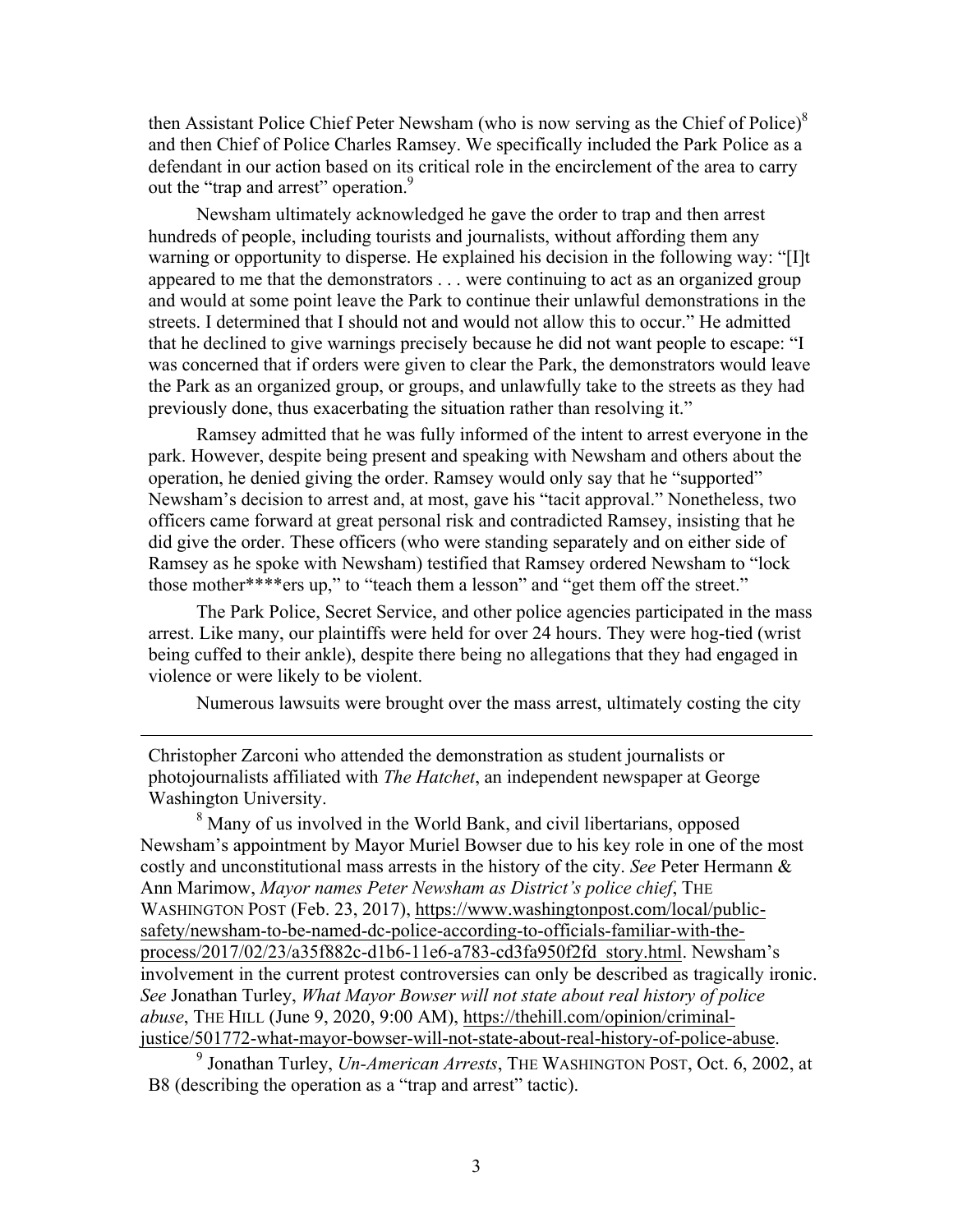then Assistant Police Chief Peter Newsham (who is now serving as the Chief of Police) $^8$ and then Chief of Police Charles Ramsey. We specifically included the Park Police as a defendant in our action based on its critical role in the encirclement of the area to carry out the "trap and arrest" operation.<sup>9</sup>

Newsham ultimately acknowledged he gave the order to trap and then arrest hundreds of people, including tourists and journalists, without affording them any warning or opportunity to disperse. He explained his decision in the following way: "[I]t appeared to me that the demonstrators . . . were continuing to act as an organized group and would at some point leave the Park to continue their unlawful demonstrations in the streets. I determined that I should not and would not allow this to occur." He admitted that he declined to give warnings precisely because he did not want people to escape: "I was concerned that if orders were given to clear the Park, the demonstrators would leave the Park as an organized group, or groups, and unlawfully take to the streets as they had previously done, thus exacerbating the situation rather than resolving it."

Ramsey admitted that he was fully informed of the intent to arrest everyone in the park. However, despite being present and speaking with Newsham and others about the operation, he denied giving the order. Ramsey would only say that he "supported" Newsham's decision to arrest and, at most, gave his "tacit approval." Nonetheless, two officers came forward at great personal risk and contradicted Ramsey, insisting that he did give the order. These officers (who were standing separately and on either side of Ramsey as he spoke with Newsham) testified that Ramsey ordered Newsham to "lock those mother\*\*\*\*ers up," to "teach them a lesson" and "get them off the street."

The Park Police, Secret Service, and other police agencies participated in the mass arrest. Like many, our plaintiffs were held for over 24 hours. They were hog-tied (wrist being cuffed to their ankle), despite there being no allegations that they had engaged in violence or were likely to be violent.

Numerous lawsuits were brought over the mass arrest, ultimately costing the city

Christopher Zarconi who attended the demonstration as student journalists or photojournalists affiliated with *The Hatchet*, an independent newspaper at George Washington University.

1

<sup>8</sup> Many of us involved in the World Bank, and civil libertarians, opposed Newsham's appointment by Mayor Muriel Bowser due to his key role in one of the most costly and unconstitutional mass arrests in the history of the city. *See* Peter Hermann & Ann Marimow, *Mayor names Peter Newsham as District's police chief*, THE WASHINGTON POST (Feb. 23, 2017), https://www.washingtonpost.com/local/publicsafety/newsham-to-be-named-dc-police-according-to-officials-familiar-with-theprocess/2017/02/23/a35f882c-d1b6-11e6-a783-cd3fa950f2fd\_story.html. Newsham's involvement in the current protest controversies can only be described as tragically ironic. *See* Jonathan Turley, *What Mayor Bowser will not state about real history of police abuse*, THE HILL (June 9, 2020, 9:00 AM), https://thehill.com/opinion/criminaljustice/501772-what-mayor-bowser-will-not-state-about-real-history-of-police-abuse.

<sup>9</sup> Jonathan Turley, *Un-American Arrests*, THE WASHINGTON POST, Oct. 6, 2002, at B8 (describing the operation as a "trap and arrest" tactic).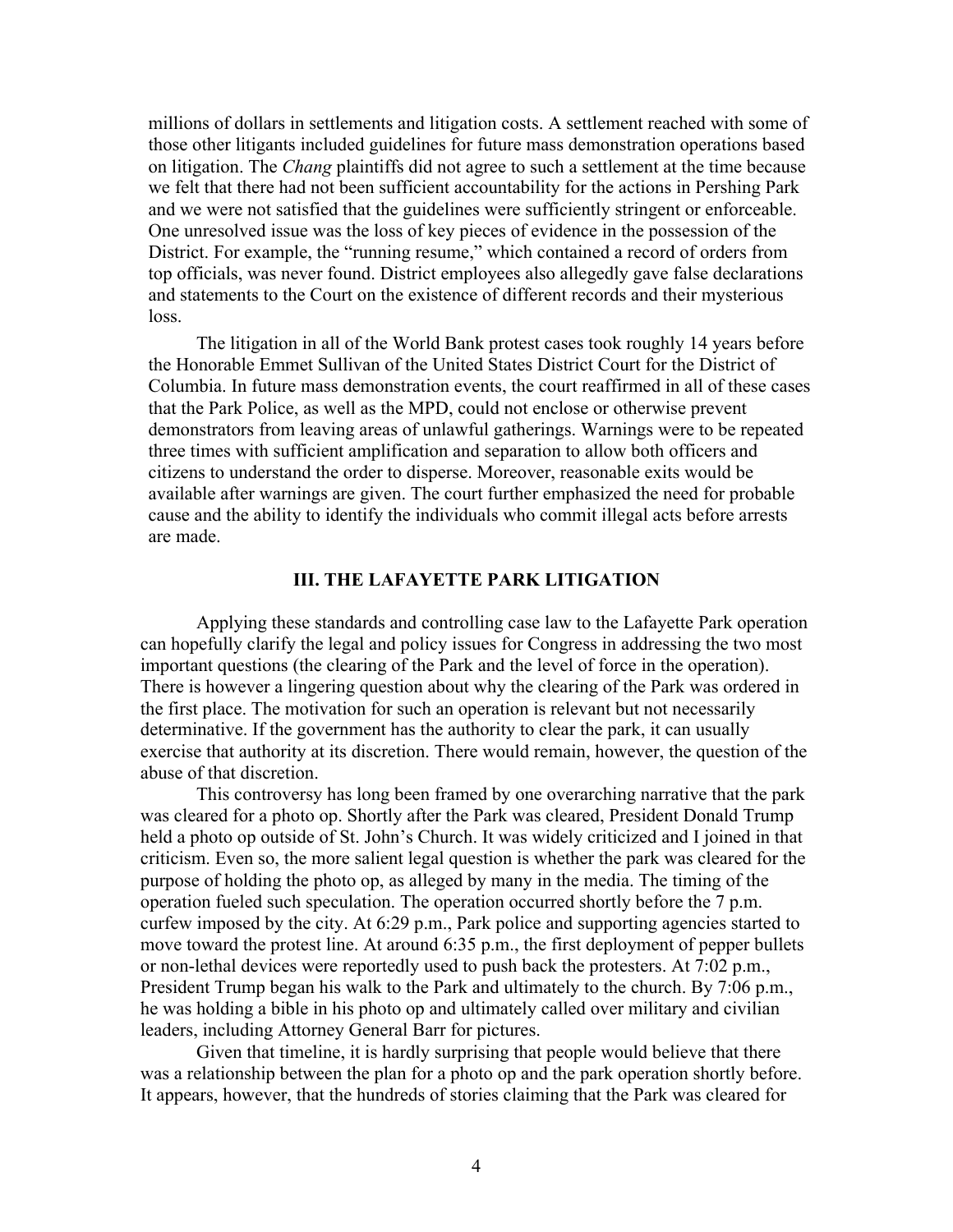millions of dollars in settlements and litigation costs. A settlement reached with some of those other litigants included guidelines for future mass demonstration operations based on litigation. The *Chang* plaintiffs did not agree to such a settlement at the time because we felt that there had not been sufficient accountability for the actions in Pershing Park and we were not satisfied that the guidelines were sufficiently stringent or enforceable. One unresolved issue was the loss of key pieces of evidence in the possession of the District. For example, the "running resume," which contained a record of orders from top officials, was never found. District employees also allegedly gave false declarations and statements to the Court on the existence of different records and their mysterious loss.

The litigation in all of the World Bank protest cases took roughly 14 years before the Honorable Emmet Sullivan of the United States District Court for the District of Columbia. In future mass demonstration events, the court reaffirmed in all of these cases that the Park Police, as well as the MPD, could not enclose or otherwise prevent demonstrators from leaving areas of unlawful gatherings. Warnings were to be repeated three times with sufficient amplification and separation to allow both officers and citizens to understand the order to disperse. Moreover, reasonable exits would be available after warnings are given. The court further emphasized the need for probable cause and the ability to identify the individuals who commit illegal acts before arrests are made.

#### **III. THE LAFAYETTE PARK LITIGATION**

Applying these standards and controlling case law to the Lafayette Park operation can hopefully clarify the legal and policy issues for Congress in addressing the two most important questions (the clearing of the Park and the level of force in the operation). There is however a lingering question about why the clearing of the Park was ordered in the first place. The motivation for such an operation is relevant but not necessarily determinative. If the government has the authority to clear the park, it can usually exercise that authority at its discretion. There would remain, however, the question of the abuse of that discretion.

This controversy has long been framed by one overarching narrative that the park was cleared for a photo op. Shortly after the Park was cleared, President Donald Trump held a photo op outside of St. John's Church. It was widely criticized and I joined in that criticism. Even so, the more salient legal question is whether the park was cleared for the purpose of holding the photo op, as alleged by many in the media. The timing of the operation fueled such speculation. The operation occurred shortly before the 7 p.m. curfew imposed by the city. At 6:29 p.m., Park police and supporting agencies started to move toward the protest line. At around 6:35 p.m., the first deployment of pepper bullets or non-lethal devices were reportedly used to push back the protesters. At 7:02 p.m., President Trump began his walk to the Park and ultimately to the church. By 7:06 p.m., he was holding a bible in his photo op and ultimately called over military and civilian leaders, including Attorney General Barr for pictures.

Given that timeline, it is hardly surprising that people would believe that there was a relationship between the plan for a photo op and the park operation shortly before. It appears, however, that the hundreds of stories claiming that the Park was cleared for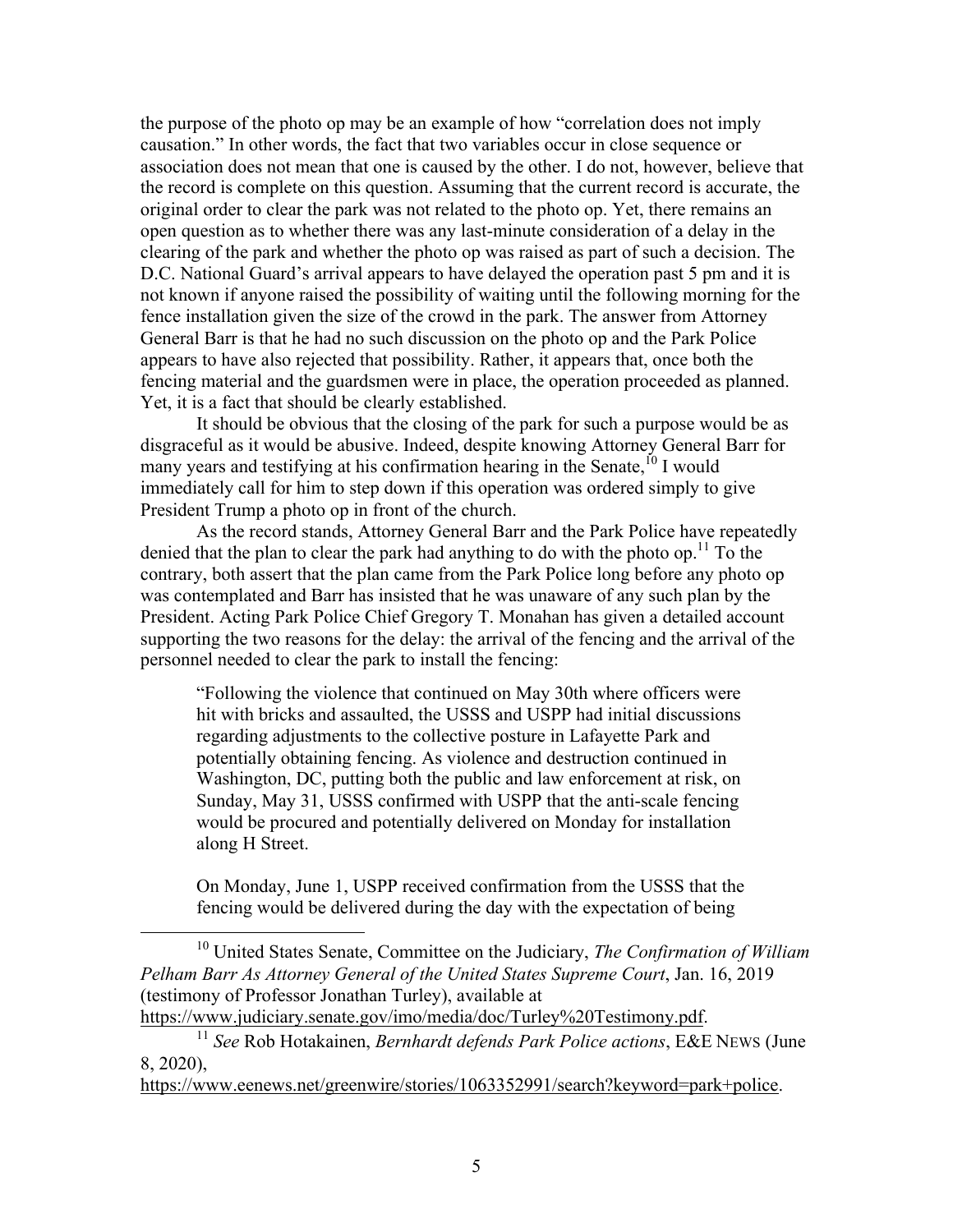the purpose of the photo op may be an example of how "correlation does not imply causation." In other words, the fact that two variables occur in close sequence or association does not mean that one is caused by the other. I do not, however, believe that the record is complete on this question. Assuming that the current record is accurate, the original order to clear the park was not related to the photo op. Yet, there remains an open question as to whether there was any last-minute consideration of a delay in the clearing of the park and whether the photo op was raised as part of such a decision. The D.C. National Guard's arrival appears to have delayed the operation past 5 pm and it is not known if anyone raised the possibility of waiting until the following morning for the fence installation given the size of the crowd in the park. The answer from Attorney General Barr is that he had no such discussion on the photo op and the Park Police appears to have also rejected that possibility. Rather, it appears that, once both the fencing material and the guardsmen were in place, the operation proceeded as planned. Yet, it is a fact that should be clearly established.

It should be obvious that the closing of the park for such a purpose would be as disgraceful as it would be abusive. Indeed, despite knowing Attorney General Barr for many years and testifying at his confirmation hearing in the Senate,  $^{10}$  I would immediately call for him to step down if this operation was ordered simply to give President Trump a photo op in front of the church.

As the record stands, Attorney General Barr and the Park Police have repeatedly denied that the plan to clear the park had anything to do with the photo op.<sup>11</sup> To the contrary, both assert that the plan came from the Park Police long before any photo op was contemplated and Barr has insisted that he was unaware of any such plan by the President. Acting Park Police Chief Gregory T. Monahan has given a detailed account supporting the two reasons for the delay: the arrival of the fencing and the arrival of the personnel needed to clear the park to install the fencing:

"Following the violence that continued on May 30th where officers were hit with bricks and assaulted, the USSS and USPP had initial discussions regarding adjustments to the collective posture in Lafayette Park and potentially obtaining fencing. As violence and destruction continued in Washington, DC, putting both the public and law enforcement at risk, on Sunday, May 31, USSS confirmed with USPP that the anti-scale fencing would be procured and potentially delivered on Monday for installation along H Street.

On Monday, June 1, USPP received confirmation from the USSS that the fencing would be delivered during the day with the expectation of being

https://www.eenews.net/greenwire/stories/1063352991/search?keyword=park+police.

 <sup>10</sup> United States Senate, Committee on the Judiciary, *The Confirmation of William Pelham Barr As Attorney General of the United States Supreme Court*, Jan. 16, 2019 (testimony of Professor Jonathan Turley), available at

https://www.judiciary.senate.gov/imo/media/doc/Turley%20Testimony.pdf. 11 *See* Rob Hotakainen, *Bernhardt defends Park Police actions*, E&E NEWS (June

<sup>8, 2020),</sup>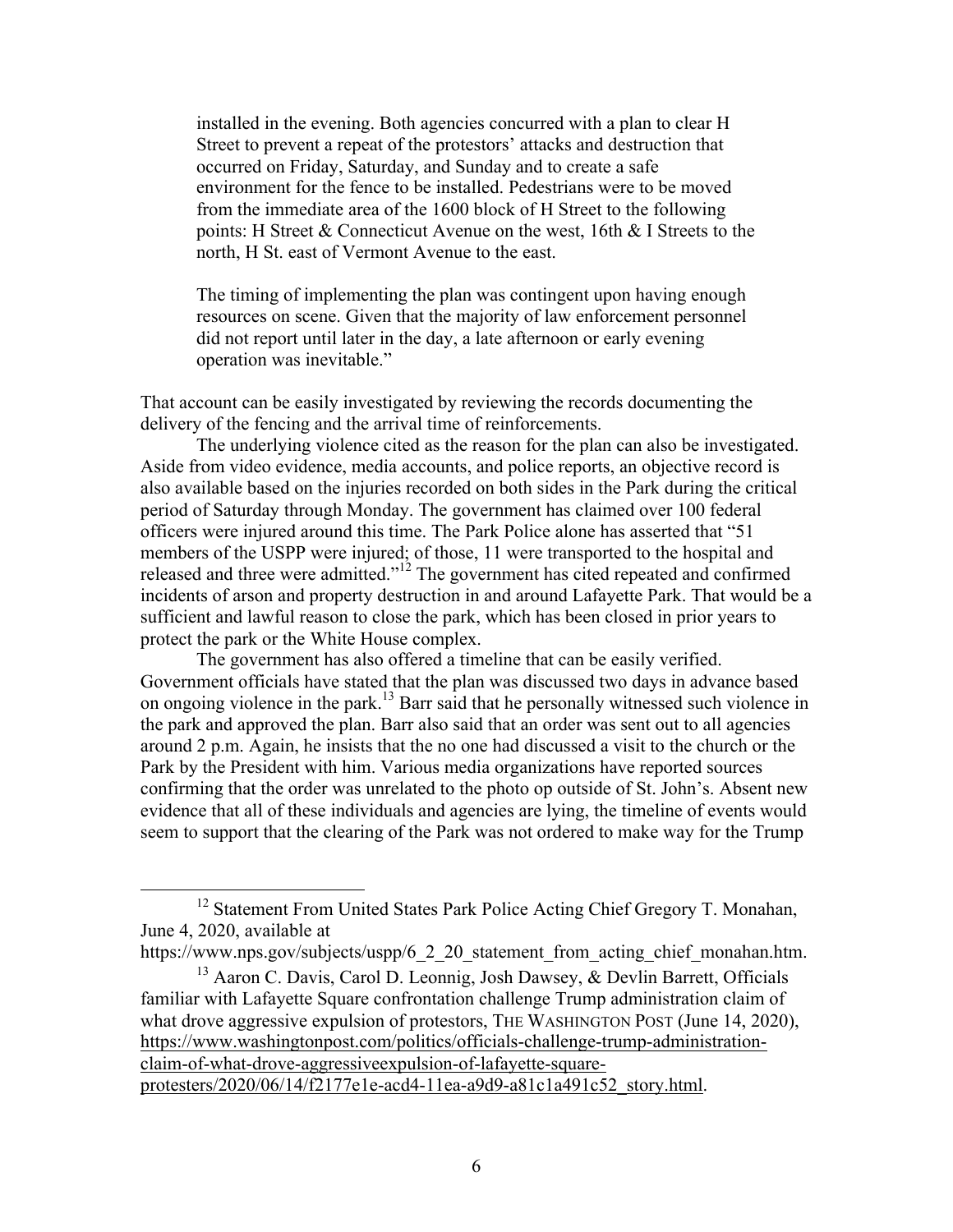installed in the evening. Both agencies concurred with a plan to clear H Street to prevent a repeat of the protestors' attacks and destruction that occurred on Friday, Saturday, and Sunday and to create a safe environment for the fence to be installed. Pedestrians were to be moved from the immediate area of the 1600 block of H Street to the following points: H Street & Connecticut Avenue on the west, 16th & I Streets to the north, H St. east of Vermont Avenue to the east.

The timing of implementing the plan was contingent upon having enough resources on scene. Given that the majority of law enforcement personnel did not report until later in the day, a late afternoon or early evening operation was inevitable."

That account can be easily investigated by reviewing the records documenting the delivery of the fencing and the arrival time of reinforcements.

The underlying violence cited as the reason for the plan can also be investigated. Aside from video evidence, media accounts, and police reports, an objective record is also available based on the injuries recorded on both sides in the Park during the critical period of Saturday through Monday. The government has claimed over 100 federal officers were injured around this time. The Park Police alone has asserted that "51 members of the USPP were injured; of those, 11 were transported to the hospital and released and three were admitted."<sup>12</sup> The government has cited repeated and confirmed incidents of arson and property destruction in and around Lafayette Park. That would be a sufficient and lawful reason to close the park, which has been closed in prior years to protect the park or the White House complex.

The government has also offered a timeline that can be easily verified. Government officials have stated that the plan was discussed two days in advance based on ongoing violence in the park.13 Barr said that he personally witnessed such violence in the park and approved the plan. Barr also said that an order was sent out to all agencies around 2 p.m. Again, he insists that the no one had discussed a visit to the church or the Park by the President with him. Various media organizations have reported sources confirming that the order was unrelated to the photo op outside of St. John's. Absent new evidence that all of these individuals and agencies are lying, the timeline of events would seem to support that the clearing of the Park was not ordered to make way for the Trump

<sup>&</sup>lt;sup>12</sup> Statement From United States Park Police Acting Chief Gregory T. Monahan, June 4, 2020, available at

https://www.nps.gov/subjects/uspp/6\_2\_20\_statement\_from\_acting\_chief\_monahan.htm.

 $13$  Aaron C. Davis, Carol D. Leonnig, Josh Dawsey, & Devlin Barrett, Officials familiar with Lafayette Square confrontation challenge Trump administration claim of what drove aggressive expulsion of protestors, THE WASHINGTON POST (June 14, 2020), https://www.washingtonpost.com/politics/officials-challenge-trump-administrationclaim-of-what-drove-aggressiveexpulsion-of-lafayette-squareprotesters/2020/06/14/f2177e1e-acd4-11ea-a9d9-a81c1a491c52\_story.html.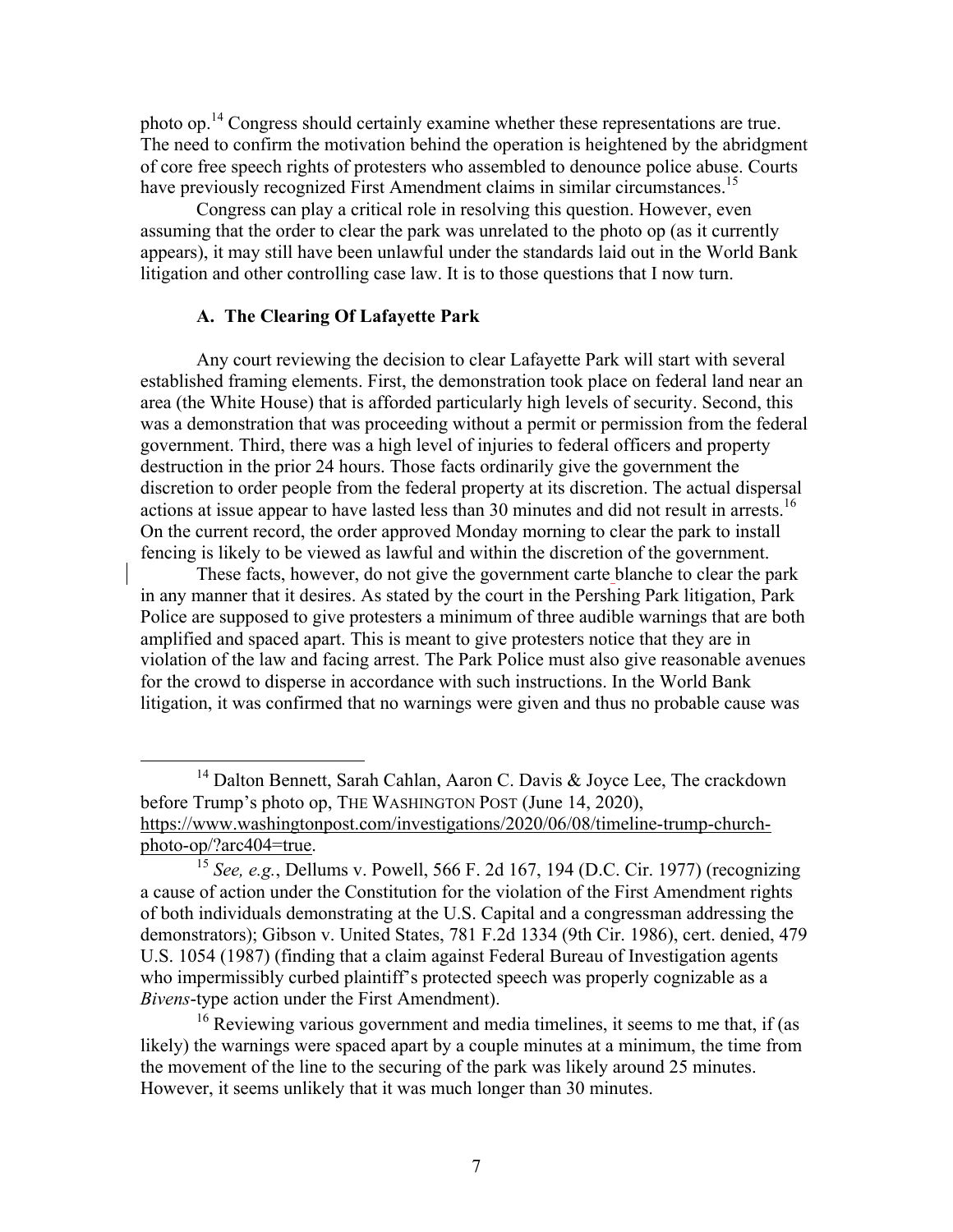photo op.<sup>14</sup> Congress should certainly examine whether these representations are true. The need to confirm the motivation behind the operation is heightened by the abridgment of core free speech rights of protesters who assembled to denounce police abuse. Courts have previously recognized First Amendment claims in similar circumstances.<sup>15</sup>

Congress can play a critical role in resolving this question. However, even assuming that the order to clear the park was unrelated to the photo op (as it currently appears), it may still have been unlawful under the standards laid out in the World Bank litigation and other controlling case law. It is to those questions that I now turn.

### **A. The Clearing Of Lafayette Park**

Any court reviewing the decision to clear Lafayette Park will start with several established framing elements. First, the demonstration took place on federal land near an area (the White House) that is afforded particularly high levels of security. Second, this was a demonstration that was proceeding without a permit or permission from the federal government. Third, there was a high level of injuries to federal officers and property destruction in the prior 24 hours. Those facts ordinarily give the government the discretion to order people from the federal property at its discretion. The actual dispersal actions at issue appear to have lasted less than 30 minutes and did not result in arrests.<sup>16</sup> On the current record, the order approved Monday morning to clear the park to install fencing is likely to be viewed as lawful and within the discretion of the government.

These facts, however, do not give the government carte blanche to clear the park in any manner that it desires. As stated by the court in the Pershing Park litigation, Park Police are supposed to give protesters a minimum of three audible warnings that are both amplified and spaced apart. This is meant to give protesters notice that they are in violation of the law and facing arrest. The Park Police must also give reasonable avenues for the crowd to disperse in accordance with such instructions. In the World Bank litigation, it was confirmed that no warnings were given and thus no probable cause was

<sup>&</sup>lt;sup>14</sup> Dalton Bennett, Sarah Cahlan, Aaron C. Davis & Joyce Lee, The crackdown before Trump's photo op, THE WASHINGTON POST (June 14, 2020), https://www.washingtonpost.com/investigations/2020/06/08/timeline-trump-churchphoto-op/?arc404=true. 15 *See, e.g.*, Dellums v. Powell, 566 F. 2d 167, 194 (D.C. Cir. 1977) (recognizing

a cause of action under the Constitution for the violation of the First Amendment rights of both individuals demonstrating at the U.S. Capital and a congressman addressing the demonstrators); Gibson v. United States, 781 F.2d 1334 (9th Cir. 1986), cert. denied, 479 U.S. 1054 (1987) (finding that a claim against Federal Bureau of Investigation agents who impermissibly curbed plaintiff's protected speech was properly cognizable as a *Bivens*-type action under the First Amendment).

<sup>&</sup>lt;sup>16</sup> Reviewing various government and media timelines, it seems to me that, if (as likely) the warnings were spaced apart by a couple minutes at a minimum, the time from the movement of the line to the securing of the park was likely around 25 minutes. However, it seems unlikely that it was much longer than 30 minutes.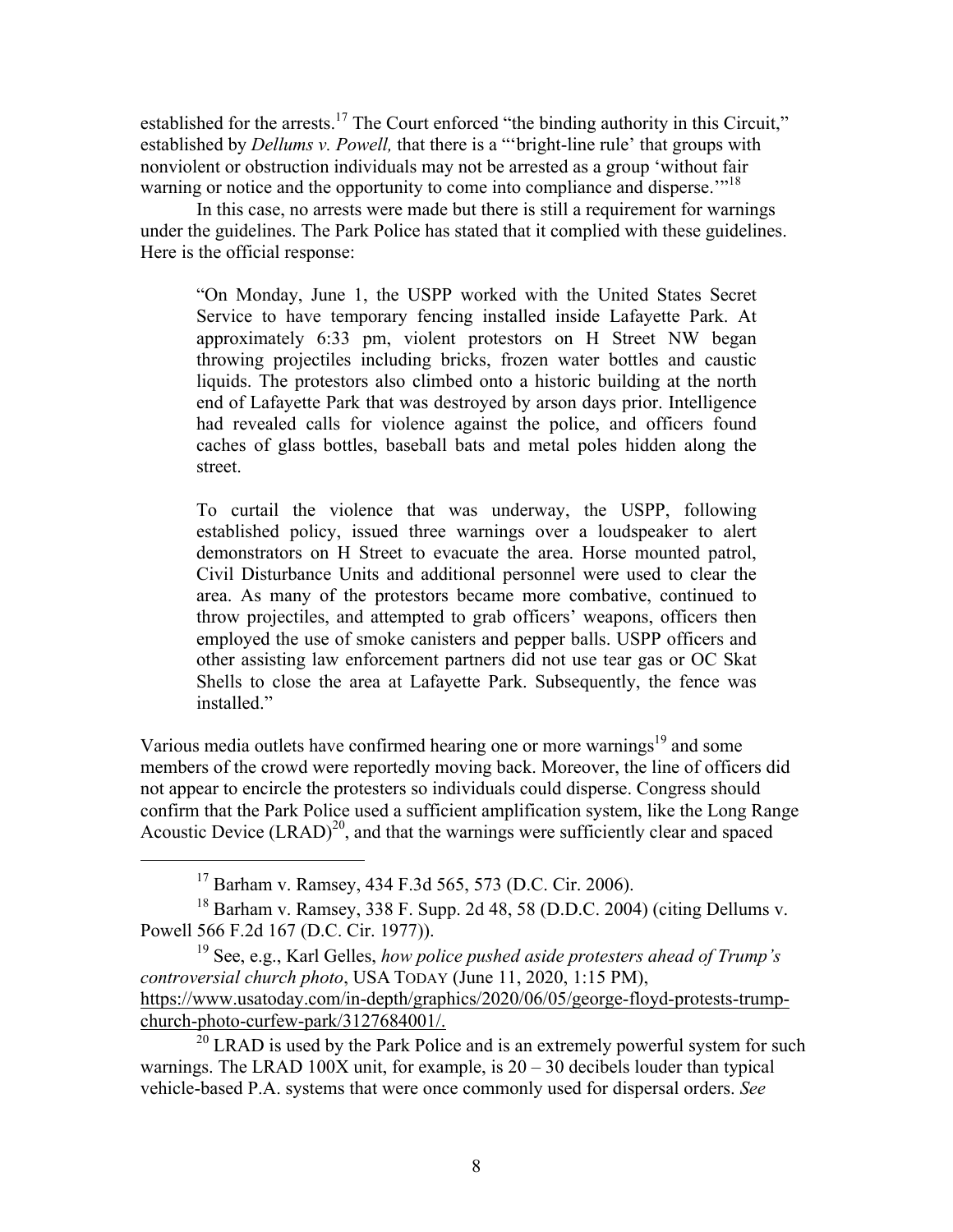established for the arrests.<sup>17</sup> The Court enforced "the binding authority in this Circuit," established by *Dellums v. Powell,* that there is a "'bright-line rule' that groups with nonviolent or obstruction individuals may not be arrested as a group 'without fair warning or notice and the opportunity to come into compliance and disperse.<sup>"18</sup>

In this case, no arrests were made but there is still a requirement for warnings under the guidelines. The Park Police has stated that it complied with these guidelines. Here is the official response:

"On Monday, June 1, the USPP worked with the United States Secret Service to have temporary fencing installed inside Lafayette Park. At approximately 6:33 pm, violent protestors on H Street NW began throwing projectiles including bricks, frozen water bottles and caustic liquids. The protestors also climbed onto a historic building at the north end of Lafayette Park that was destroyed by arson days prior. Intelligence had revealed calls for violence against the police, and officers found caches of glass bottles, baseball bats and metal poles hidden along the street.

To curtail the violence that was underway, the USPP, following established policy, issued three warnings over a loudspeaker to alert demonstrators on H Street to evacuate the area. Horse mounted patrol, Civil Disturbance Units and additional personnel were used to clear the area. As many of the protestors became more combative, continued to throw projectiles, and attempted to grab officers' weapons, officers then employed the use of smoke canisters and pepper balls. USPP officers and other assisting law enforcement partners did not use tear gas or OC Skat Shells to close the area at Lafayette Park. Subsequently, the fence was installed."

Various media outlets have confirmed hearing one or more warnings<sup>19</sup> and some members of the crowd were reportedly moving back. Moreover, the line of officers did not appear to encircle the protesters so individuals could disperse. Congress should confirm that the Park Police used a sufficient amplification system, like the Long Range Acoustic Device  $(LRAD)^{20}$ , and that the warnings were sufficiently clear and spaced

17 Barham v. Ramsey, 434 F.3d 565, 573 (D.C. Cir. 2006).

<sup>18</sup> Barham v. Ramsey, 338 F. Supp. 2d 48, 58 (D.D.C. 2004) (citing Dellums v. Powell 566 F.2d 167 (D.C. Cir. 1977)).

<sup>19</sup> See, e.g., Karl Gelles, *how police pushed aside protesters ahead of Trump's controversial church photo*, USA TODAY (June 11, 2020, 1:15 PM), https://www.usatoday.com/in-depth/graphics/2020/06/05/george-floyd-protests-trumpchurch-photo-curfew-park/3127684001/.

 $20$  LRAD is used by the Park Police and is an extremely powerful system for such warnings. The LRAD 100X unit, for example, is  $20 - 30$  decibels louder than typical vehicle-based P.A. systems that were once commonly used for dispersal orders. *See*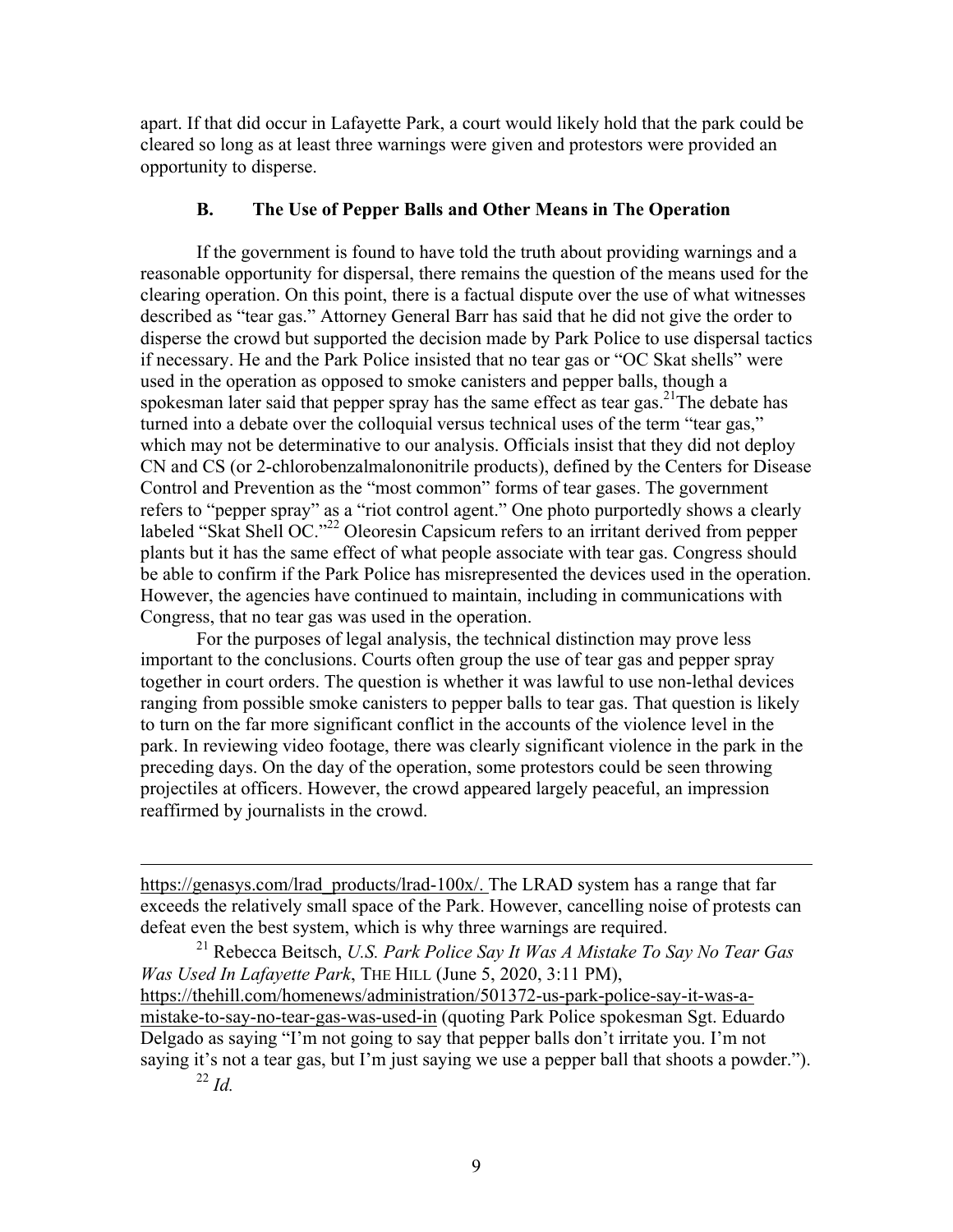apart. If that did occur in Lafayette Park, a court would likely hold that the park could be cleared so long as at least three warnings were given and protestors were provided an opportunity to disperse.

# **B. The Use of Pepper Balls and Other Means in The Operation**

If the government is found to have told the truth about providing warnings and a reasonable opportunity for dispersal, there remains the question of the means used for the clearing operation. On this point, there is a factual dispute over the use of what witnesses described as "tear gas." Attorney General Barr has said that he did not give the order to disperse the crowd but supported the decision made by Park Police to use dispersal tactics if necessary. He and the Park Police insisted that no tear gas or "OC Skat shells" were used in the operation as opposed to smoke canisters and pepper balls, though a spokesman later said that pepper spray has the same effect as tear gas.<sup>21</sup>The debate has turned into a debate over the colloquial versus technical uses of the term "tear gas," which may not be determinative to our analysis. Officials insist that they did not deploy CN and CS (or 2-chlorobenzalmalononitrile products), defined by the Centers for Disease Control and Prevention as the "most common" forms of tear gases. The government refers to "pepper spray" as a "riot control agent." One photo purportedly shows a clearly labeled "Skat Shell OC."<sup>22</sup> Oleoresin Capsicum refers to an irritant derived from pepper plants but it has the same effect of what people associate with tear gas. Congress should be able to confirm if the Park Police has misrepresented the devices used in the operation. However, the agencies have continued to maintain, including in communications with Congress, that no tear gas was used in the operation.

For the purposes of legal analysis, the technical distinction may prove less important to the conclusions. Courts often group the use of tear gas and pepper spray together in court orders. The question is whether it was lawful to use non-lethal devices ranging from possible smoke canisters to pepper balls to tear gas. That question is likely to turn on the far more significant conflict in the accounts of the violence level in the park. In reviewing video footage, there was clearly significant violence in the park in the preceding days. On the day of the operation, some protestors could be seen throwing projectiles at officers. However, the crowd appeared largely peaceful, an impression reaffirmed by journalists in the crowd.

https://genasys.com/lrad\_products/lrad-100x/. The LRAD system has a range that far exceeds the relatively small space of the Park. However, cancelling noise of protests can defeat even the best system, which is why three warnings are required.

<sup>21</sup> Rebecca Beitsch, *U.S. Park Police Say It Was A Mistake To Say No Tear Gas Was Used In Lafayette Park*, THE HILL (June 5, 2020, 3:11 PM), https://thehill.com/homenews/administration/501372-us-park-police-say-it-was-amistake-to-say-no-tear-gas-was-used-in (quoting Park Police spokesman Sgt. Eduardo Delgado as saying "I'm not going to say that pepper balls don't irritate you. I'm not saying it's not a tear gas, but I'm just saying we use a pepper ball that shoots a powder.").

<sup>22</sup> *Id.*

1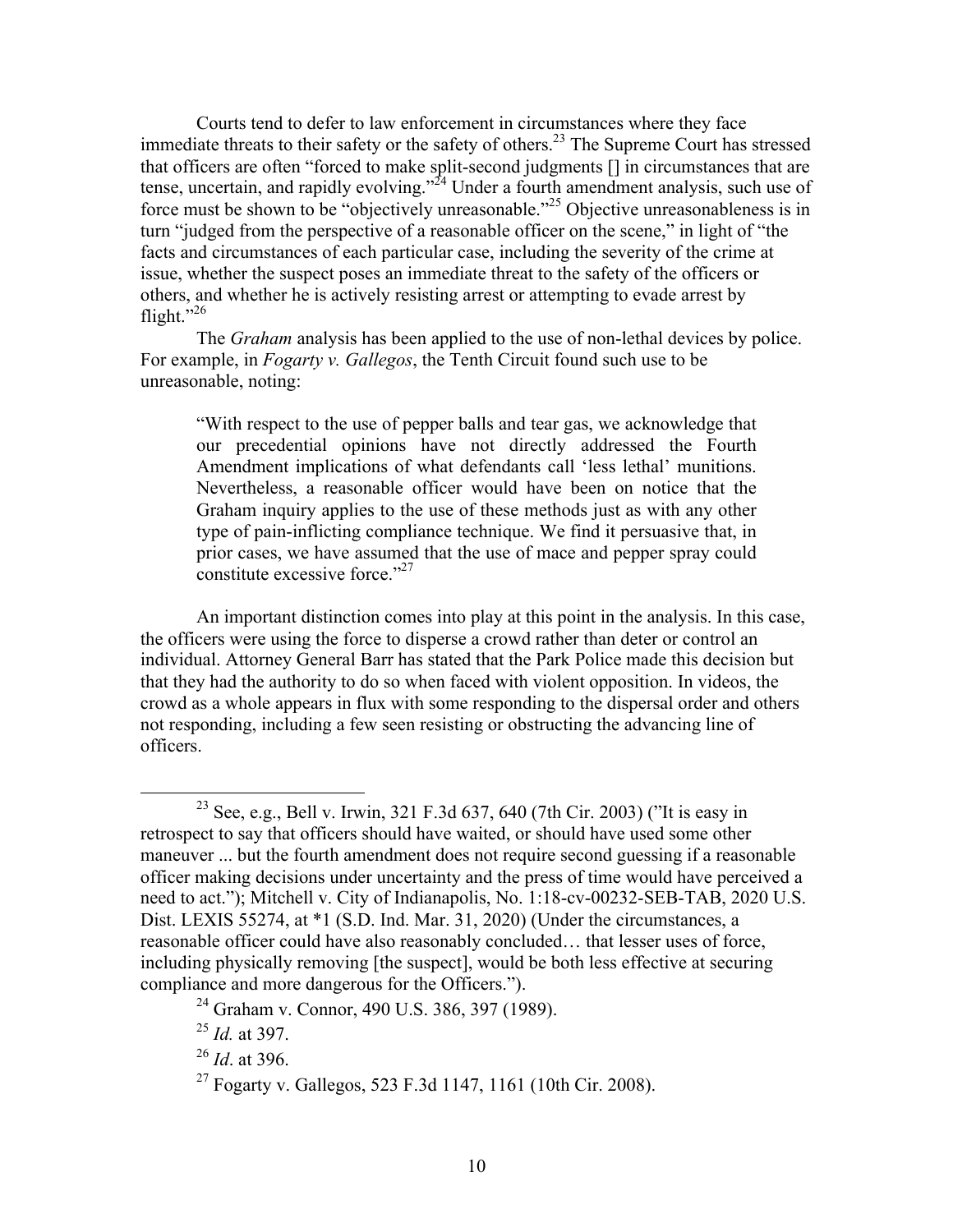Courts tend to defer to law enforcement in circumstances where they face immediate threats to their safety or the safety of others.<sup>23</sup> The Supreme Court has stressed that officers are often "forced to make split-second judgments [] in circumstances that are tense, uncertain, and rapidly evolving."<sup>24</sup> Under a fourth amendment analysis, such use of force must be shown to be "objectively unreasonable."25 Objective unreasonableness is in turn "judged from the perspective of a reasonable officer on the scene," in light of "the facts and circumstances of each particular case, including the severity of the crime at issue, whether the suspect poses an immediate threat to the safety of the officers or others, and whether he is actively resisting arrest or attempting to evade arrest by flight." $^{26}$ 

The *Graham* analysis has been applied to the use of non-lethal devices by police. For example, in *Fogarty v. Gallegos*, the Tenth Circuit found such use to be unreasonable, noting:

"With respect to the use of pepper balls and tear gas, we acknowledge that our precedential opinions have not directly addressed the Fourth Amendment implications of what defendants call 'less lethal' munitions. Nevertheless, a reasonable officer would have been on notice that the Graham inquiry applies to the use of these methods just as with any other type of pain-inflicting compliance technique. We find it persuasive that, in prior cases, we have assumed that the use of mace and pepper spray could constitute excessive force."<sup>27</sup>

An important distinction comes into play at this point in the analysis. In this case, the officers were using the force to disperse a crowd rather than deter or control an individual. Attorney General Barr has stated that the Park Police made this decision but that they had the authority to do so when faced with violent opposition. In videos, the crowd as a whole appears in flux with some responding to the dispersal order and others not responding, including a few seen resisting or obstructing the advancing line of officers.

<sup>&</sup>lt;sup>23</sup> See, e.g., Bell v. Irwin, 321 F.3d 637, 640 (7th Cir. 2003) ("It is easy in retrospect to say that officers should have waited, or should have used some other maneuver ... but the fourth amendment does not require second guessing if a reasonable officer making decisions under uncertainty and the press of time would have perceived a need to act."); Mitchell v. City of Indianapolis, No. 1:18-cv-00232-SEB-TAB, 2020 U.S. Dist. LEXIS 55274, at \*1 (S.D. Ind. Mar. 31, 2020) (Under the circumstances, a reasonable officer could have also reasonably concluded… that lesser uses of force, including physically removing [the suspect], would be both less effective at securing compliance and more dangerous for the Officers.").

<sup>24</sup> Graham v. Connor, 490 U.S. 386, 397 (1989).

<sup>25</sup> *Id.* at 397.

<sup>26</sup> *Id*. at 396.

<sup>27</sup> Fogarty v. Gallegos, 523 F.3d 1147, 1161 (10th Cir. 2008).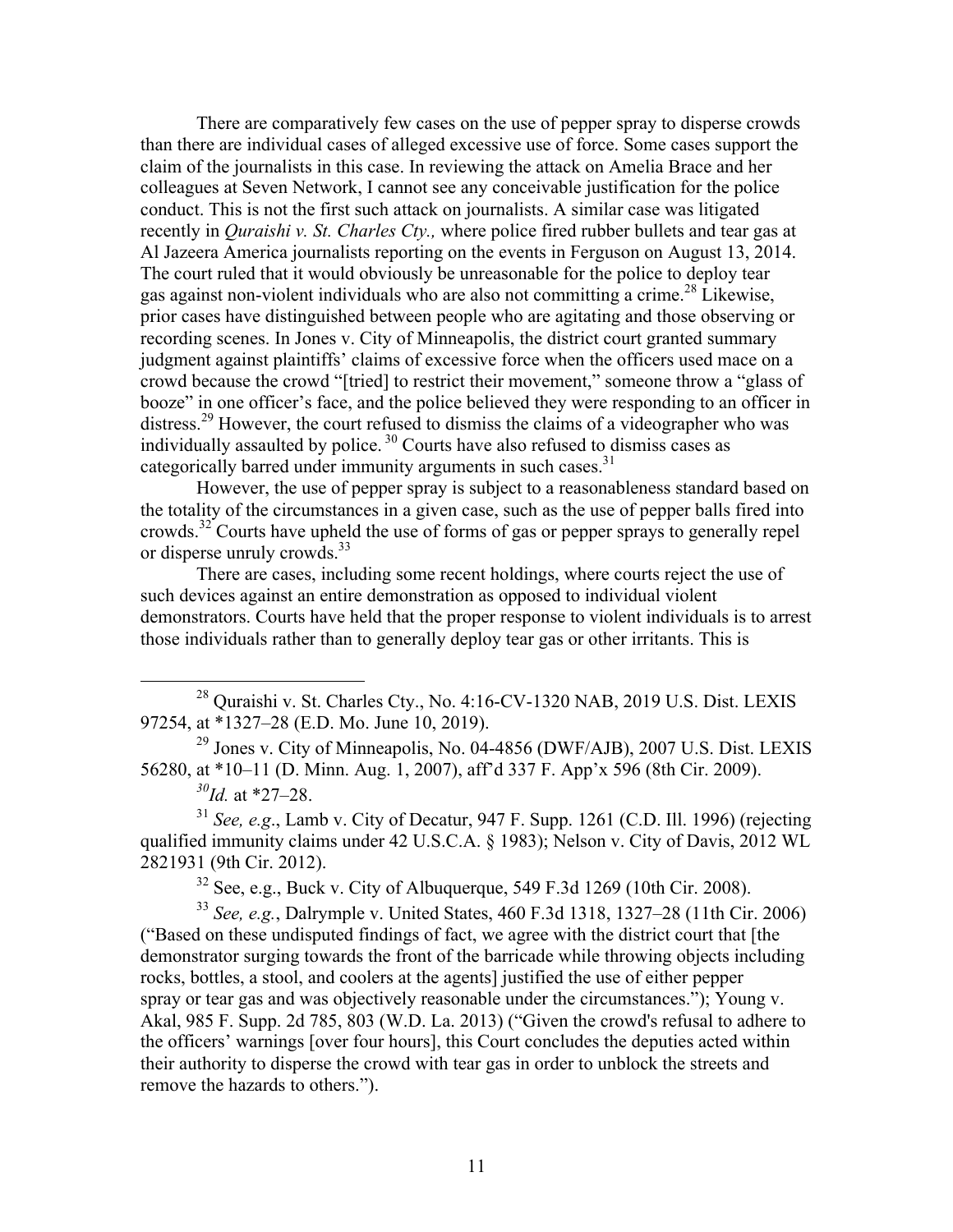There are comparatively few cases on the use of pepper spray to disperse crowds than there are individual cases of alleged excessive use of force. Some cases support the claim of the journalists in this case. In reviewing the attack on Amelia Brace and her colleagues at Seven Network, I cannot see any conceivable justification for the police conduct. This is not the first such attack on journalists. A similar case was litigated recently in *Quraishi v. St. Charles Cty.,* where police fired rubber bullets and tear gas at Al Jazeera America journalists reporting on the events in Ferguson on August 13, 2014. The court ruled that it would obviously be unreasonable for the police to deploy tear gas against non-violent individuals who are also not committing a crime.<sup>28</sup> Likewise, prior cases have distinguished between people who are agitating and those observing or recording scenes. In Jones v. City of Minneapolis, the district court granted summary judgment against plaintiffs' claims of excessive force when the officers used mace on a crowd because the crowd "[tried] to restrict their movement," someone throw a "glass of booze" in one officer's face, and the police believed they were responding to an officer in distress.<sup>29</sup> However, the court refused to dismiss the claims of a videographer who was individually assaulted by police.<sup>30</sup> Courts have also refused to dismiss cases as categorically barred under immunity arguments in such cases.<sup>31</sup>

However, the use of pepper spray is subject to a reasonableness standard based on the totality of the circumstances in a given case, such as the use of pepper balls fired into crowds.<sup>32</sup> Courts have upheld the use of forms of gas or pepper sprays to generally repel or disperse unruly crowds. 33

There are cases, including some recent holdings, where courts reject the use of such devices against an entire demonstration as opposed to individual violent demonstrators. Courts have held that the proper response to violent individuals is to arrest those individuals rather than to generally deploy tear gas or other irritants. This is

<sup>29</sup> Jones v. City of Minneapolis, No. 04-4856 (DWF/AJB), 2007 U.S. Dist. LEXIS 56280, at \*10–11 (D. Minn. Aug. 1, 2007), aff'd 337 F. App'x 596 (8th Cir. 2009). *30Id.* at \*27–28.

<sup>31</sup> *See, e.g*., Lamb v. City of Decatur, 947 F. Supp. 1261 (C.D. Ill. 1996) (rejecting qualified immunity claims under 42 U.S.C.A. § 1983); Nelson v. City of Davis, 2012 WL 2821931 (9th Cir. 2012).

 $32$  See, e.g., Buck v. City of Albuquerque, 549 F.3d 1269 (10th Cir. 2008).

<sup>33</sup> *See, e.g.*, Dalrymple v. United States, 460 F.3d 1318, 1327–28 (11th Cir. 2006) ("Based on these undisputed findings of fact, we agree with the district court that [the demonstrator surging towards the front of the barricade while throwing objects including rocks, bottles, a stool, and coolers at the agents] justified the use of either pepper spray or tear gas and was objectively reasonable under the circumstances."); Young v. Akal, 985 F. Supp. 2d 785, 803 (W.D. La. 2013) ("Given the crowd's refusal to adhere to the officers' warnings [over four hours], this Court concludes the deputies acted within their authority to disperse the crowd with tear gas in order to unblock the streets and remove the hazards to others.").

<sup>&</sup>lt;sup>28</sup> Quraishi v. St. Charles Cty., No. 4:16-CV-1320 NAB, 2019 U.S. Dist. LEXIS 97254, at \*1327–28 (E.D. Mo. June 10, 2019).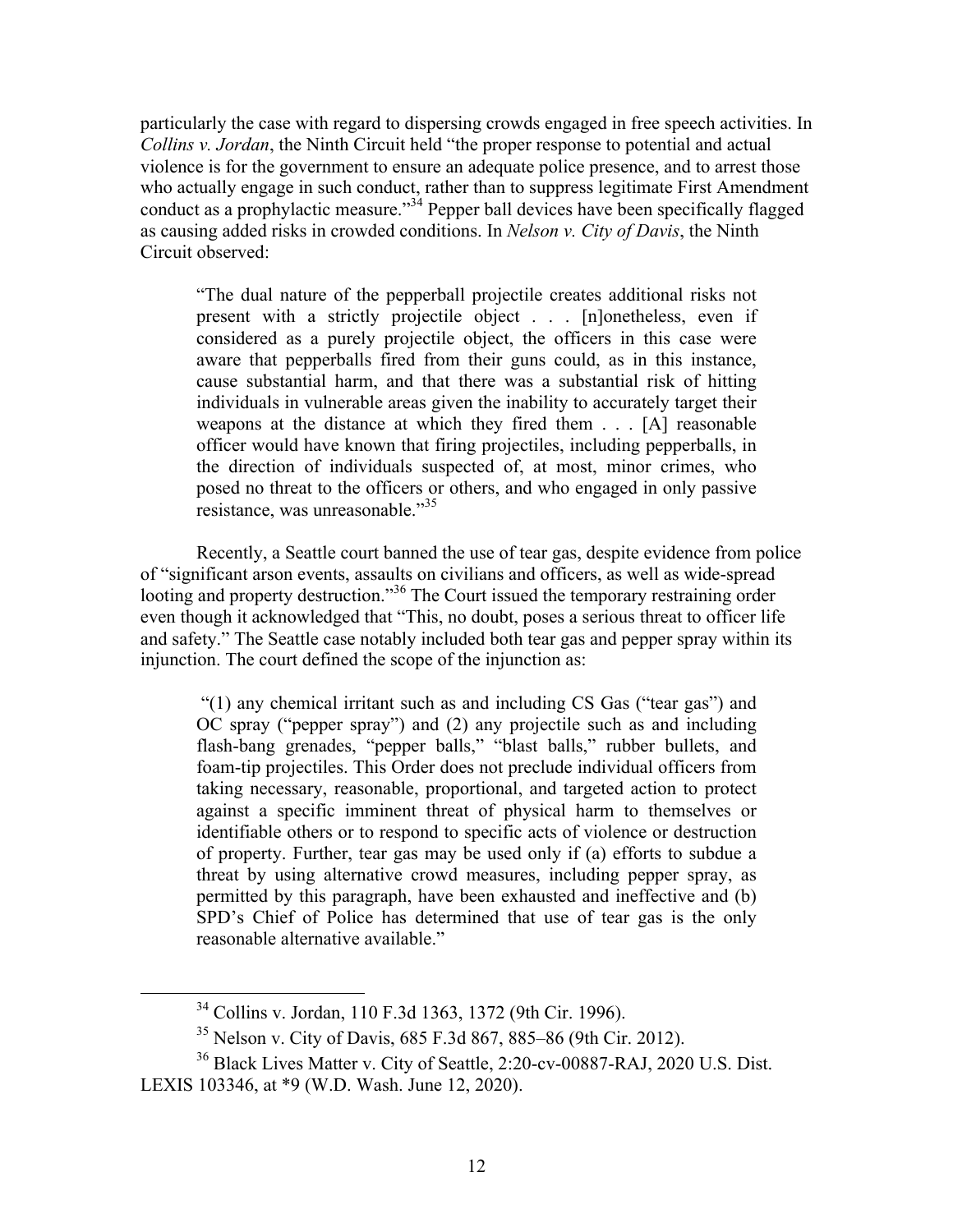particularly the case with regard to dispersing crowds engaged in free speech activities. In *Collins v. Jordan*, the Ninth Circuit held "the proper response to potential and actual violence is for the government to ensure an adequate police presence, and to arrest those who actually engage in such conduct, rather than to suppress legitimate First Amendment conduct as a prophylactic measure."<sup>34</sup> Pepper ball devices have been specifically flagged as causing added risks in crowded conditions. In *Nelson v. City of Davis*, the Ninth Circuit observed:

"The dual nature of the pepperball projectile creates additional risks not present with a strictly projectile object . . . [n]onetheless, even if considered as a purely projectile object, the officers in this case were aware that pepperballs fired from their guns could, as in this instance, cause substantial harm, and that there was a substantial risk of hitting individuals in vulnerable areas given the inability to accurately target their weapons at the distance at which they fired them . . . [A] reasonable officer would have known that firing projectiles, including pepperballs, in the direction of individuals suspected of, at most, minor crimes, who posed no threat to the officers or others, and who engaged in only passive resistance, was unreasonable."<sup>35</sup>

Recently, a Seattle court banned the use of tear gas, despite evidence from police of "significant arson events, assaults on civilians and officers, as well as wide-spread looting and property destruction."<sup>36</sup> The Court issued the temporary restraining order even though it acknowledged that "This, no doubt, poses a serious threat to officer life and safety." The Seattle case notably included both tear gas and pepper spray within its injunction. The court defined the scope of the injunction as:

"(1) any chemical irritant such as and including CS Gas ("tear gas") and OC spray ("pepper spray") and (2) any projectile such as and including flash-bang grenades, "pepper balls," "blast balls," rubber bullets, and foam-tip projectiles. This Order does not preclude individual officers from taking necessary, reasonable, proportional, and targeted action to protect against a specific imminent threat of physical harm to themselves or identifiable others or to respond to specific acts of violence or destruction of property. Further, tear gas may be used only if (a) efforts to subdue a threat by using alternative crowd measures, including pepper spray, as permitted by this paragraph, have been exhausted and ineffective and (b) SPD's Chief of Police has determined that use of tear gas is the only reasonable alternative available."

 <sup>34</sup> Collins v. Jordan, 110 F.3d 1363, 1372 (9th Cir. 1996).

<sup>35</sup> Nelson v. City of Davis, 685 F.3d 867, 885–86 (9th Cir. 2012).

<sup>36</sup> Black Lives Matter v. City of Seattle, 2:20-cv-00887-RAJ, 2020 U.S. Dist. LEXIS 103346, at \*9 (W.D. Wash. June 12, 2020).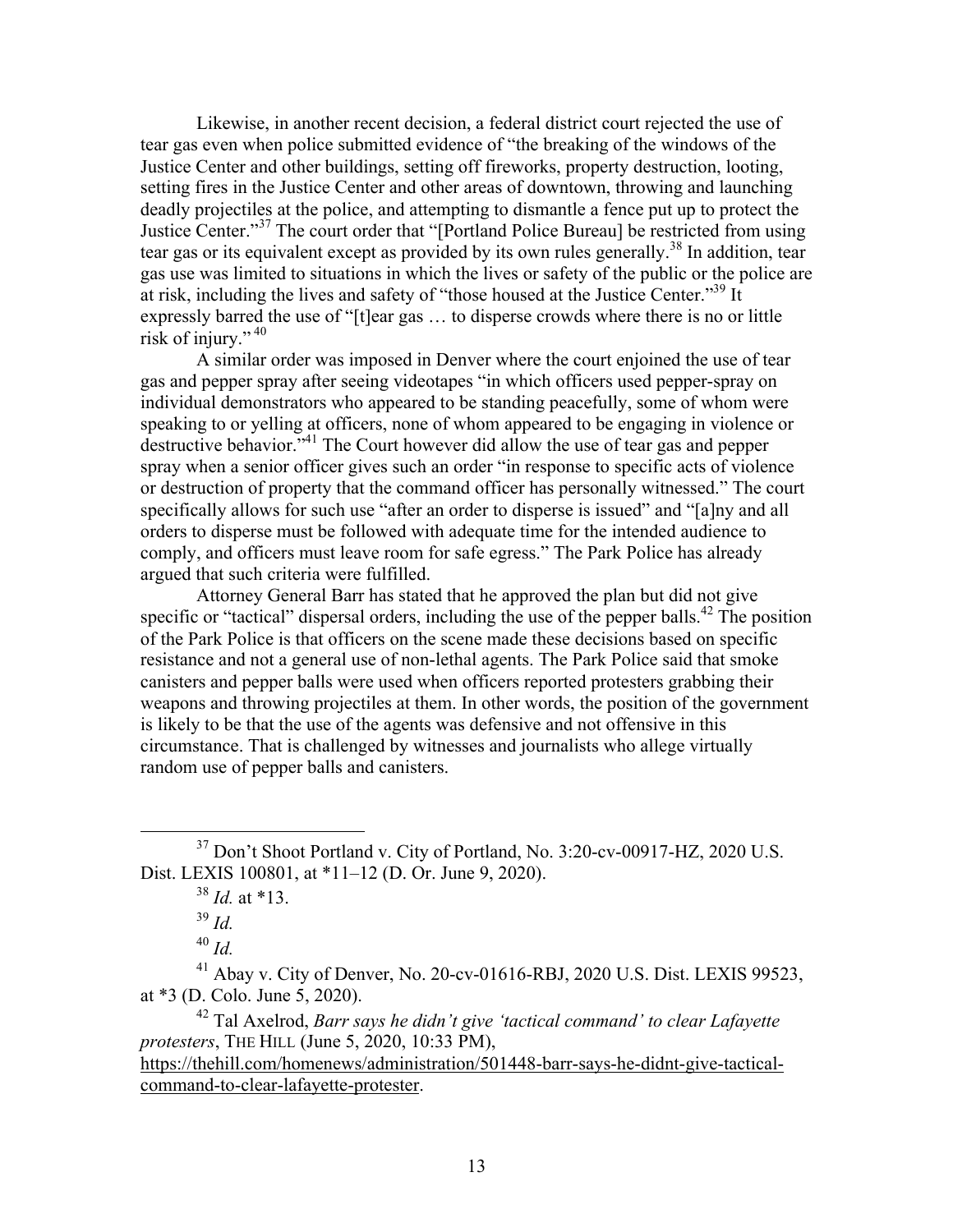Likewise, in another recent decision, a federal district court rejected the use of tear gas even when police submitted evidence of "the breaking of the windows of the Justice Center and other buildings, setting off fireworks, property destruction, looting, setting fires in the Justice Center and other areas of downtown, throwing and launching deadly projectiles at the police, and attempting to dismantle a fence put up to protect the Justice Center."<sup>37</sup> The court order that "[Portland Police Bureau] be restricted from using tear gas or its equivalent except as provided by its own rules generally.<sup>38</sup> In addition, tear gas use was limited to situations in which the lives or safety of the public or the police are at risk, including the lives and safety of "those housed at the Justice Center."39 It expressly barred the use of "[t]ear gas … to disperse crowds where there is no or little risk of injury."  $40$ 

A similar order was imposed in Denver where the court enjoined the use of tear gas and pepper spray after seeing videotapes "in which officers used pepper-spray on individual demonstrators who appeared to be standing peacefully, some of whom were speaking to or yelling at officers, none of whom appeared to be engaging in violence or destructive behavior."<sup>41</sup> The Court however did allow the use of tear gas and pepper spray when a senior officer gives such an order "in response to specific acts of violence or destruction of property that the command officer has personally witnessed." The court specifically allows for such use "after an order to disperse is issued" and "[a]ny and all orders to disperse must be followed with adequate time for the intended audience to comply, and officers must leave room for safe egress." The Park Police has already argued that such criteria were fulfilled.

Attorney General Barr has stated that he approved the plan but did not give specific or "tactical" dispersal orders, including the use of the pepper balls.<sup>42</sup> The position of the Park Police is that officers on the scene made these decisions based on specific resistance and not a general use of non-lethal agents. The Park Police said that smoke canisters and pepper balls were used when officers reported protesters grabbing their weapons and throwing projectiles at them. In other words, the position of the government is likely to be that the use of the agents was defensive and not offensive in this circumstance. That is challenged by witnesses and journalists who allege virtually random use of pepper balls and canisters.

 $37$  Don't Shoot Portland v. City of Portland, No. 3:20-cv-00917-HZ, 2020 U.S. Dist. LEXIS 100801, at \*11–12 (D. Or. June 9, 2020).

<sup>38</sup> *Id.* at \*13.

<sup>39</sup> *Id.*

<sup>40</sup> *Id.*

<sup>41</sup> Abay v. City of Denver, No. 20-cv-01616-RBJ, 2020 U.S. Dist. LEXIS 99523, at \*3 (D. Colo. June 5, 2020).

<sup>42</sup> Tal Axelrod, *Barr says he didn't give 'tactical command' to clear Lafayette protesters*, THE HILL (June 5, 2020, 10:33 PM),

https://thehill.com/homenews/administration/501448-barr-says-he-didnt-give-tacticalcommand-to-clear-lafayette-protester.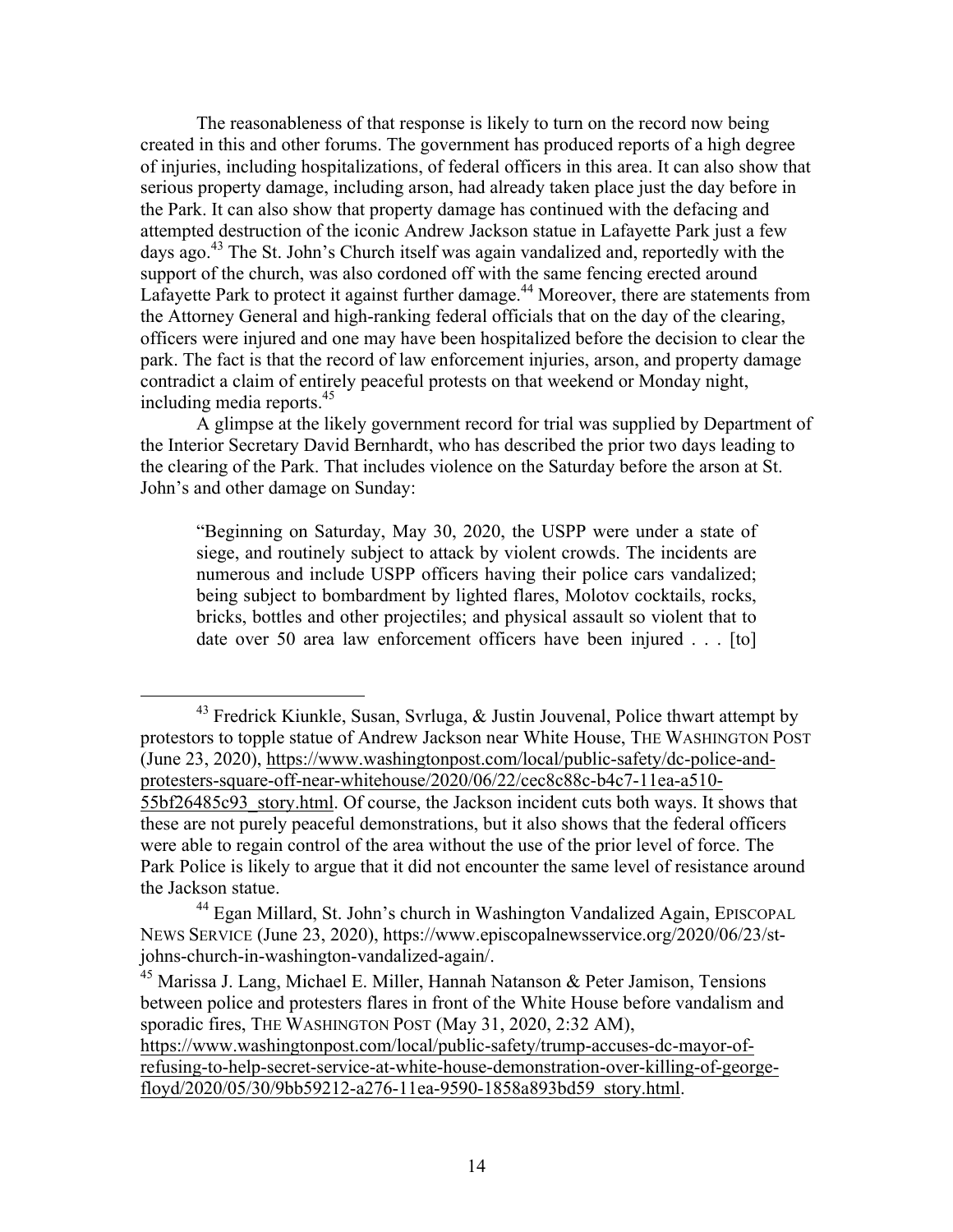The reasonableness of that response is likely to turn on the record now being created in this and other forums. The government has produced reports of a high degree of injuries, including hospitalizations, of federal officers in this area. It can also show that serious property damage, including arson, had already taken place just the day before in the Park. It can also show that property damage has continued with the defacing and attempted destruction of the iconic Andrew Jackson statue in Lafayette Park just a few days ago.<sup>43</sup> The St. John's Church itself was again vandalized and, reportedly with the support of the church, was also cordoned off with the same fencing erected around Lafayette Park to protect it against further damage.<sup>44</sup> Moreover, there are statements from the Attorney General and high-ranking federal officials that on the day of the clearing, officers were injured and one may have been hospitalized before the decision to clear the park. The fact is that the record of law enforcement injuries, arson, and property damage contradict a claim of entirely peaceful protests on that weekend or Monday night, including media reports. $45$ 

A glimpse at the likely government record for trial was supplied by Department of the Interior Secretary David Bernhardt, who has described the prior two days leading to the clearing of the Park. That includes violence on the Saturday before the arson at St. John's and other damage on Sunday:

"Beginning on Saturday, May 30, 2020, the USPP were under a state of siege, and routinely subject to attack by violent crowds. The incidents are numerous and include USPP officers having their police cars vandalized; being subject to bombardment by lighted flares, Molotov cocktails, rocks, bricks, bottles and other projectiles; and physical assault so violent that to date over 50 area law enforcement officers have been injured . . . [to]

 <sup>43</sup> Fredrick Kiunkle, Susan, Svrluga, & Justin Jouvenal, Police thwart attempt by protestors to topple statue of Andrew Jackson near White House, THE WASHINGTON POST (June 23, 2020), https://www.washingtonpost.com/local/public-safety/dc-police-andprotesters-square-off-near-whitehouse/2020/06/22/cec8c88c-b4c7-11ea-a510- 55bf26485c93\_story.html. Of course, the Jackson incident cuts both ways. It shows that these are not purely peaceful demonstrations, but it also shows that the federal officers were able to regain control of the area without the use of the prior level of force. The Park Police is likely to argue that it did not encounter the same level of resistance around the Jackson statue.

<sup>44</sup> Egan Millard, St. John's church in Washington Vandalized Again, EPISCOPAL NEWS SERVICE (June 23, 2020), https://www.episcopalnewsservice.org/2020/06/23/stjohns-church-in-washington-vandalized-again/.

<sup>45</sup> Marissa J. Lang, Michael E. Miller, Hannah Natanson & Peter Jamison, Tensions between police and protesters flares in front of the White House before vandalism and sporadic fires, THE WASHINGTON POST (May 31, 2020, 2:32 AM), https://www.washingtonpost.com/local/public-safety/trump-accuses-dc-mayor-of-

refusing-to-help-secret-service-at-white-house-demonstration-over-killing-of-georgefloyd/2020/05/30/9bb59212-a276-11ea-9590-1858a893bd59\_story.html.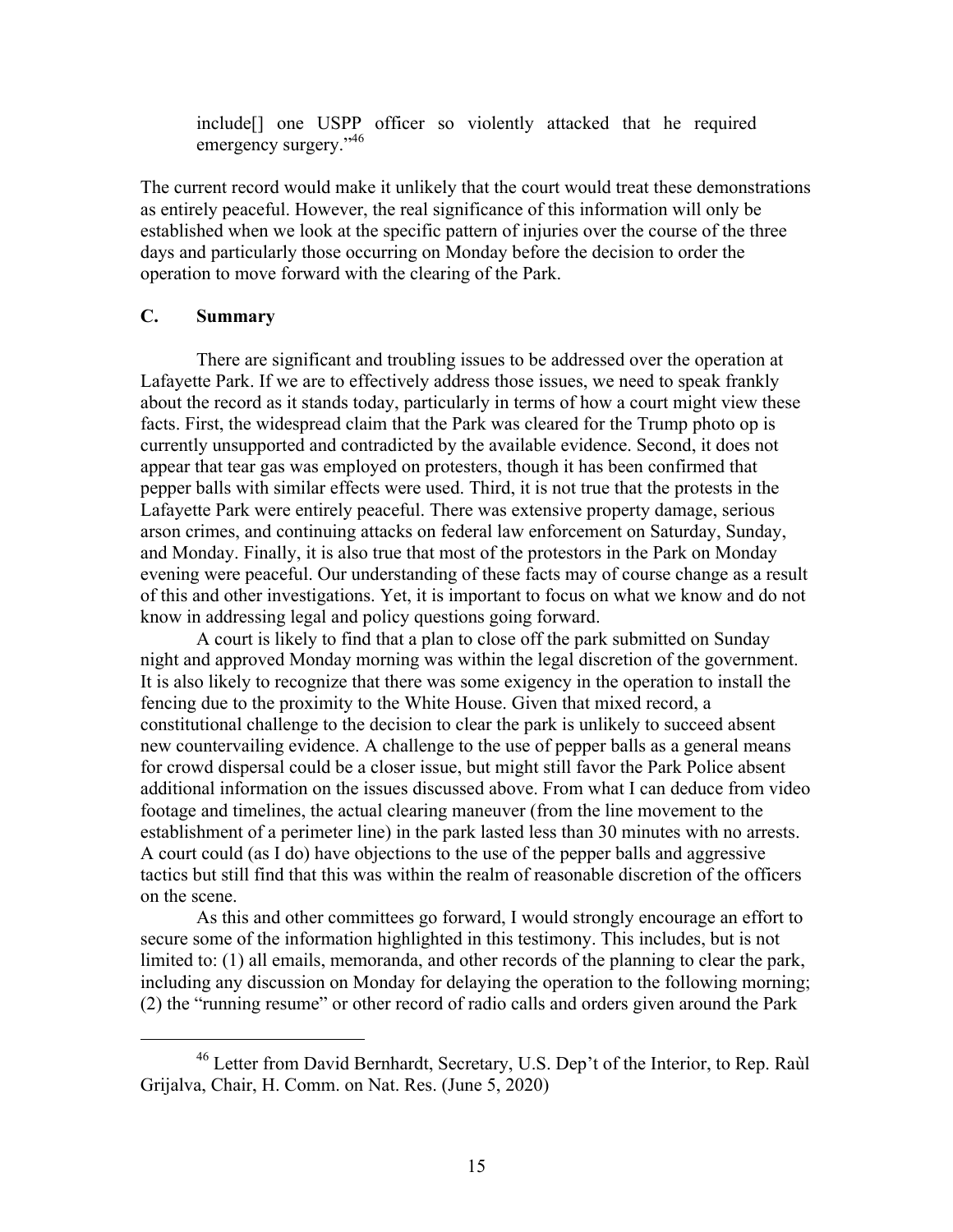include[] one USPP officer so violently attacked that he required emergency surgery."<sup>46</sup>

The current record would make it unlikely that the court would treat these demonstrations as entirely peaceful. However, the real significance of this information will only be established when we look at the specific pattern of injuries over the course of the three days and particularly those occurring on Monday before the decision to order the operation to move forward with the clearing of the Park.

## **C. Summary**

There are significant and troubling issues to be addressed over the operation at Lafayette Park. If we are to effectively address those issues, we need to speak frankly about the record as it stands today, particularly in terms of how a court might view these facts. First, the widespread claim that the Park was cleared for the Trump photo op is currently unsupported and contradicted by the available evidence. Second, it does not appear that tear gas was employed on protesters, though it has been confirmed that pepper balls with similar effects were used. Third, it is not true that the protests in the Lafayette Park were entirely peaceful. There was extensive property damage, serious arson crimes, and continuing attacks on federal law enforcement on Saturday, Sunday, and Monday. Finally, it is also true that most of the protestors in the Park on Monday evening were peaceful. Our understanding of these facts may of course change as a result of this and other investigations. Yet, it is important to focus on what we know and do not know in addressing legal and policy questions going forward.

A court is likely to find that a plan to close off the park submitted on Sunday night and approved Monday morning was within the legal discretion of the government. It is also likely to recognize that there was some exigency in the operation to install the fencing due to the proximity to the White House. Given that mixed record, a constitutional challenge to the decision to clear the park is unlikely to succeed absent new countervailing evidence. A challenge to the use of pepper balls as a general means for crowd dispersal could be a closer issue, but might still favor the Park Police absent additional information on the issues discussed above. From what I can deduce from video footage and timelines, the actual clearing maneuver (from the line movement to the establishment of a perimeter line) in the park lasted less than 30 minutes with no arrests. A court could (as I do) have objections to the use of the pepper balls and aggressive tactics but still find that this was within the realm of reasonable discretion of the officers on the scene.

As this and other committees go forward, I would strongly encourage an effort to secure some of the information highlighted in this testimony. This includes, but is not limited to: (1) all emails, memoranda, and other records of the planning to clear the park, including any discussion on Monday for delaying the operation to the following morning; (2) the "running resume" or other record of radio calls and orders given around the Park

 <sup>46</sup> Letter from David Bernhardt, Secretary, U.S. Dep't of the Interior, to Rep. Raùl Grijalva, Chair, H. Comm. on Nat. Res. (June 5, 2020)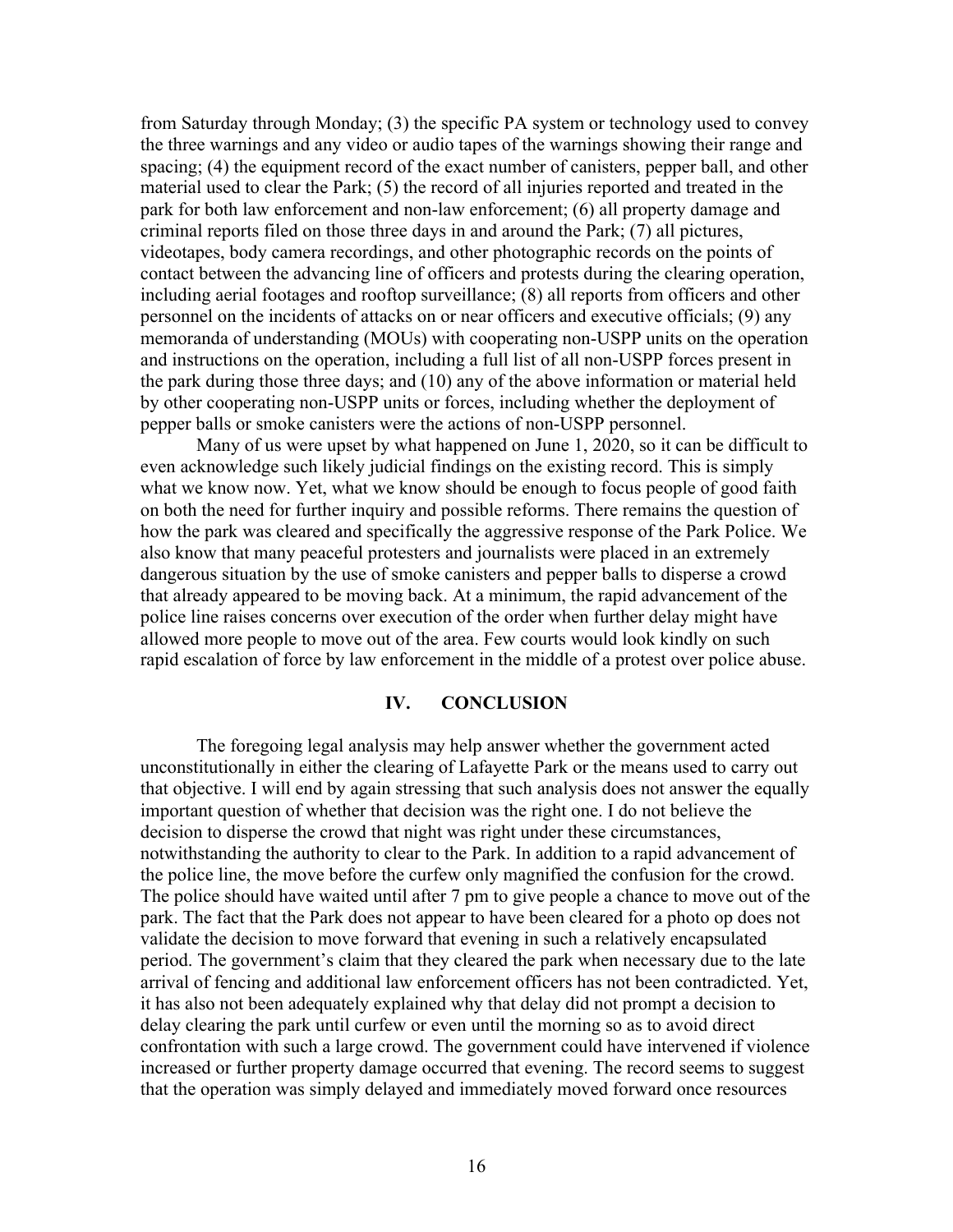from Saturday through Monday; (3) the specific PA system or technology used to convey the three warnings and any video or audio tapes of the warnings showing their range and spacing; (4) the equipment record of the exact number of canisters, pepper ball, and other material used to clear the Park; (5) the record of all injuries reported and treated in the park for both law enforcement and non-law enforcement; (6) all property damage and criminal reports filed on those three days in and around the Park; (7) all pictures, videotapes, body camera recordings, and other photographic records on the points of contact between the advancing line of officers and protests during the clearing operation, including aerial footages and rooftop surveillance; (8) all reports from officers and other personnel on the incidents of attacks on or near officers and executive officials; (9) any memoranda of understanding (MOUs) with cooperating non-USPP units on the operation and instructions on the operation, including a full list of all non-USPP forces present in the park during those three days; and (10) any of the above information or material held by other cooperating non-USPP units or forces, including whether the deployment of pepper balls or smoke canisters were the actions of non-USPP personnel.

Many of us were upset by what happened on June 1, 2020, so it can be difficult to even acknowledge such likely judicial findings on the existing record. This is simply what we know now. Yet, what we know should be enough to focus people of good faith on both the need for further inquiry and possible reforms. There remains the question of how the park was cleared and specifically the aggressive response of the Park Police. We also know that many peaceful protesters and journalists were placed in an extremely dangerous situation by the use of smoke canisters and pepper balls to disperse a crowd that already appeared to be moving back. At a minimum, the rapid advancement of the police line raises concerns over execution of the order when further delay might have allowed more people to move out of the area. Few courts would look kindly on such rapid escalation of force by law enforcement in the middle of a protest over police abuse.

### **IV. CONCLUSION**

The foregoing legal analysis may help answer whether the government acted unconstitutionally in either the clearing of Lafayette Park or the means used to carry out that objective. I will end by again stressing that such analysis does not answer the equally important question of whether that decision was the right one. I do not believe the decision to disperse the crowd that night was right under these circumstances, notwithstanding the authority to clear to the Park. In addition to a rapid advancement of the police line, the move before the curfew only magnified the confusion for the crowd. The police should have waited until after 7 pm to give people a chance to move out of the park. The fact that the Park does not appear to have been cleared for a photo op does not validate the decision to move forward that evening in such a relatively encapsulated period. The government's claim that they cleared the park when necessary due to the late arrival of fencing and additional law enforcement officers has not been contradicted. Yet, it has also not been adequately explained why that delay did not prompt a decision to delay clearing the park until curfew or even until the morning so as to avoid direct confrontation with such a large crowd. The government could have intervened if violence increased or further property damage occurred that evening. The record seems to suggest that the operation was simply delayed and immediately moved forward once resources